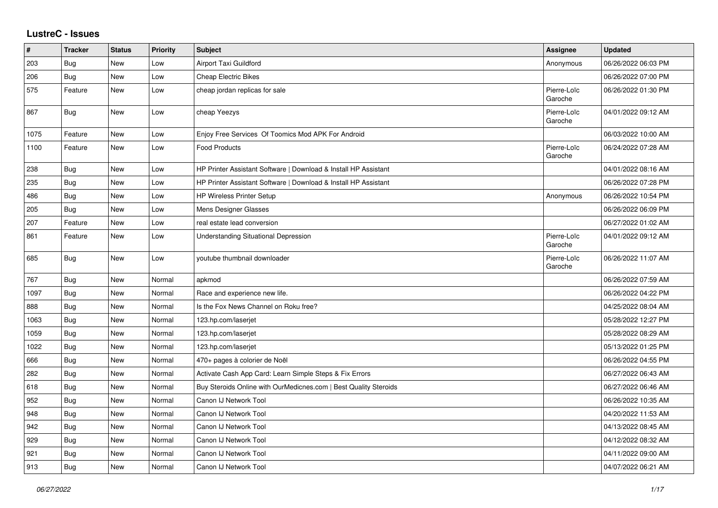## **LustreC - Issues**

| $\sharp$ | <b>Tracker</b> | <b>Status</b> | <b>Priority</b> | <b>Subject</b>                                                   | <b>Assignee</b>        | <b>Updated</b>      |
|----------|----------------|---------------|-----------------|------------------------------------------------------------------|------------------------|---------------------|
| 203      | Bug            | New           | Low             | <b>Airport Taxi Guildford</b>                                    | Anonymous              | 06/26/2022 06:03 PM |
| 206      | Bug            | New           | Low             | <b>Cheap Electric Bikes</b>                                      |                        | 06/26/2022 07:00 PM |
| 575      | Feature        | New           | Low             | cheap jordan replicas for sale                                   | Pierre-Loïc<br>Garoche | 06/26/2022 01:30 PM |
| 867      | Bug            | New           | Low             | cheap Yeezys                                                     | Pierre-Loïc<br>Garoche | 04/01/2022 09:12 AM |
| 1075     | Feature        | New           | Low             | Enjoy Free Services Of Toomics Mod APK For Android               |                        | 06/03/2022 10:00 AM |
| 1100     | Feature        | New           | Low             | <b>Food Products</b>                                             | Pierre-Loïc<br>Garoche | 06/24/2022 07:28 AM |
| 238      | Bug            | New           | Low             | HP Printer Assistant Software   Download & Install HP Assistant  |                        | 04/01/2022 08:16 AM |
| 235      | Bug            | New           | Low             | HP Printer Assistant Software   Download & Install HP Assistant  |                        | 06/26/2022 07:28 PM |
| 486      | <b>Bug</b>     | New           | Low             | <b>HP Wireless Printer Setup</b>                                 | Anonymous              | 06/26/2022 10:54 PM |
| 205      | Bug            | New           | Low             | <b>Mens Designer Glasses</b>                                     |                        | 06/26/2022 06:09 PM |
| 207      | Feature        | New           | Low             | real estate lead conversion                                      |                        | 06/27/2022 01:02 AM |
| 861      | Feature        | New           | Low             | <b>Understanding Situational Depression</b>                      | Pierre-Loïc<br>Garoche | 04/01/2022 09:12 AM |
| 685      | <b>Bug</b>     | New           | Low             | youtube thumbnail downloader                                     | Pierre-Loïc<br>Garoche | 06/26/2022 11:07 AM |
| 767      | Bug            | New           | Normal          | apkmod                                                           |                        | 06/26/2022 07:59 AM |
| 1097     | Bug            | New           | Normal          | Race and experience new life.                                    |                        | 06/26/2022 04:22 PM |
| 888      | Bug            | New           | Normal          | Is the Fox News Channel on Roku free?                            |                        | 04/25/2022 08:04 AM |
| 1063     | Bug            | New           | Normal          | 123.hp.com/laserjet                                              |                        | 05/28/2022 12:27 PM |
| 1059     | <b>Bug</b>     | <b>New</b>    | Normal          | 123.hp.com/laserjet                                              |                        | 05/28/2022 08:29 AM |
| 1022     | Bug            | New           | Normal          | 123.hp.com/laserjet                                              |                        | 05/13/2022 01:25 PM |
| 666      | Bug            | New           | Normal          | 470+ pages à colorier de Noël                                    |                        | 06/26/2022 04:55 PM |
| 282      | Bug            | New           | Normal          | Activate Cash App Card: Learn Simple Steps & Fix Errors          |                        | 06/27/2022 06:43 AM |
| 618      | Bug            | New           | Normal          | Buy Steroids Online with OurMedicnes.com   Best Quality Steroids |                        | 06/27/2022 06:46 AM |
| 952      | Bug            | New           | Normal          | Canon IJ Network Tool                                            |                        | 06/26/2022 10:35 AM |
| 948      | Bug            | <b>New</b>    | Normal          | Canon IJ Network Tool                                            |                        | 04/20/2022 11:53 AM |
| 942      | Bug            | New           | Normal          | Canon IJ Network Tool                                            |                        | 04/13/2022 08:45 AM |
| 929      | Bug            | New           | Normal          | Canon IJ Network Tool                                            |                        | 04/12/2022 08:32 AM |
| 921      | Bug            | New           | Normal          | Canon IJ Network Tool                                            |                        | 04/11/2022 09:00 AM |
| 913      | Bug            | New           | Normal          | Canon IJ Network Tool                                            |                        | 04/07/2022 06:21 AM |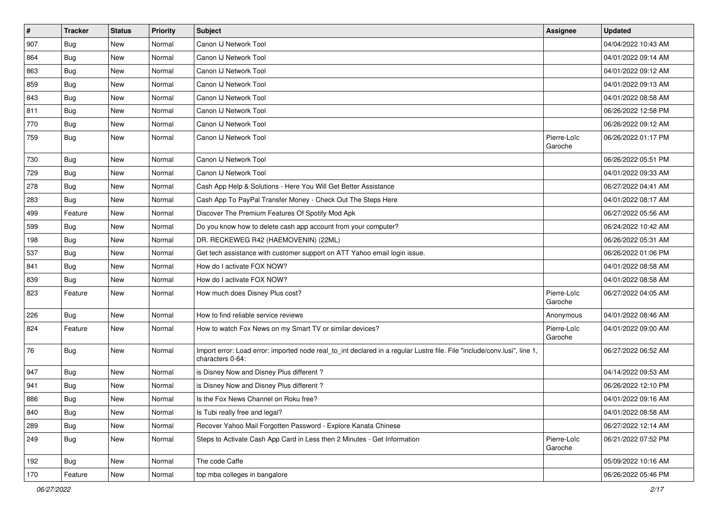| $\vert$ # | <b>Tracker</b> | <b>Status</b> | <b>Priority</b> | <b>Subject</b>                                                                                                                               | <b>Assignee</b>        | <b>Updated</b>      |
|-----------|----------------|---------------|-----------------|----------------------------------------------------------------------------------------------------------------------------------------------|------------------------|---------------------|
| 907       | <b>Bug</b>     | New           | Normal          | Canon IJ Network Tool                                                                                                                        |                        | 04/04/2022 10:43 AM |
| 864       | Bug            | New           | Normal          | Canon IJ Network Tool                                                                                                                        |                        | 04/01/2022 09:14 AM |
| 863       | Bug            | New           | Normal          | Canon IJ Network Tool                                                                                                                        |                        | 04/01/2022 09:12 AM |
| 859       | Bug            | New           | Normal          | Canon IJ Network Tool                                                                                                                        |                        | 04/01/2022 09:13 AM |
| 843       | <b>Bug</b>     | New           | Normal          | Canon IJ Network Tool                                                                                                                        |                        | 04/01/2022 08:58 AM |
| 811       | <b>Bug</b>     | New           | Normal          | Canon IJ Network Tool                                                                                                                        |                        | 06/26/2022 12:58 PM |
| 770       | Bug            | New           | Normal          | Canon IJ Network Tool                                                                                                                        |                        | 06/26/2022 09:12 AM |
| 759       | Bug            | New           | Normal          | Canon IJ Network Tool                                                                                                                        | Pierre-Loïc<br>Garoche | 06/26/2022 01:17 PM |
| 730       | Bug            | New           | Normal          | Canon IJ Network Tool                                                                                                                        |                        | 06/26/2022 05:51 PM |
| 729       | Bug            | New           | Normal          | Canon IJ Network Tool                                                                                                                        |                        | 04/01/2022 09:33 AM |
| 278       | Bug            | New           | Normal          | Cash App Help & Solutions - Here You Will Get Better Assistance                                                                              |                        | 06/27/2022 04:41 AM |
| 283       | <b>Bug</b>     | New           | Normal          | Cash App To PayPal Transfer Money - Check Out The Steps Here                                                                                 |                        | 04/01/2022 08:17 AM |
| 499       | Feature        | New           | Normal          | Discover The Premium Features Of Spotify Mod Apk                                                                                             |                        | 06/27/2022 05:56 AM |
| 599       | Bug            | New           | Normal          | Do you know how to delete cash app account from your computer?                                                                               |                        | 06/24/2022 10:42 AM |
| 198       | Bug            | New           | Normal          | DR. RECKEWEG R42 (HAEMOVENIN) (22ML)                                                                                                         |                        | 06/26/2022 05:31 AM |
| 537       | Bug            | New           | Normal          | Get tech assistance with customer support on ATT Yahoo email login issue.                                                                    |                        | 06/26/2022 01:06 PM |
| 841       | Bug            | New           | Normal          | How do I activate FOX NOW?                                                                                                                   |                        | 04/01/2022 08:58 AM |
| 839       | <b>Bug</b>     | New           | Normal          | How do I activate FOX NOW?                                                                                                                   |                        | 04/01/2022 08:58 AM |
| 823       | Feature        | New           | Normal          | How much does Disney Plus cost?                                                                                                              | Pierre-Loïc<br>Garoche | 06/27/2022 04:05 AM |
| 226       | <b>Bug</b>     | New           | Normal          | How to find reliable service reviews                                                                                                         | Anonymous              | 04/01/2022 08:46 AM |
| 824       | Feature        | New           | Normal          | How to watch Fox News on my Smart TV or similar devices?                                                                                     | Pierre-Loïc<br>Garoche | 04/01/2022 09:00 AM |
| 76        | Bug            | New           | Normal          | Import error: Load error: imported node real_to_int declared in a regular Lustre file. File "include/conv.lusi", line 1,<br>characters 0-64: |                        | 06/27/2022 06:52 AM |
| 947       | Bug            | New           | Normal          | is Disney Now and Disney Plus different?                                                                                                     |                        | 04/14/2022 09:53 AM |
| 941       | <b>Bug</b>     | New           | Normal          | is Disney Now and Disney Plus different?                                                                                                     |                        | 06/26/2022 12:10 PM |
| 886       | <b>Bug</b>     | New           | Normal          | Is the Fox News Channel on Roku free?                                                                                                        |                        | 04/01/2022 09:16 AM |
| 840       | Bug            | New           | Normal          | Is Tubi really free and legal?                                                                                                               |                        | 04/01/2022 08:58 AM |
| 289       | Bug            | New           | Normal          | Recover Yahoo Mail Forgotten Password - Explore Kanata Chinese                                                                               |                        | 06/27/2022 12:14 AM |
| 249       | <b>Bug</b>     | New           | Normal          | Steps to Activate Cash App Card in Less then 2 Minutes - Get Information                                                                     | Pierre-Loïc<br>Garoche | 06/21/2022 07:52 PM |
| 192       | Bug            | New           | Normal          | The code Caffe                                                                                                                               |                        | 05/09/2022 10:16 AM |
| 170       | Feature        | New           | Normal          | top mba colleges in bangalore                                                                                                                |                        | 06/26/2022 05:46 PM |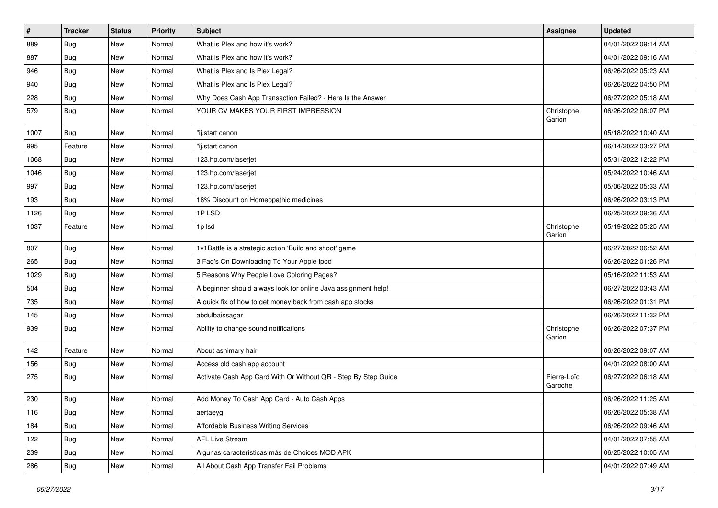| $\pmb{\#}$ | <b>Tracker</b> | <b>Status</b> | Priority | <b>Subject</b>                                                 | Assignee               | <b>Updated</b>      |
|------------|----------------|---------------|----------|----------------------------------------------------------------|------------------------|---------------------|
| 889        | <b>Bug</b>     | New           | Normal   | What is Plex and how it's work?                                |                        | 04/01/2022 09:14 AM |
| 887        | Bug            | New           | Normal   | What is Plex and how it's work?                                |                        | 04/01/2022 09:16 AM |
| 946        | <b>Bug</b>     | New           | Normal   | What is Plex and Is Plex Legal?                                |                        | 06/26/2022 05:23 AM |
| 940        | Bug            | New           | Normal   | What is Plex and Is Plex Legal?                                |                        | 06/26/2022 04:50 PM |
| 228        | Bug            | New           | Normal   | Why Does Cash App Transaction Failed? - Here Is the Answer     |                        | 06/27/2022 05:18 AM |
| 579        | Bug            | New           | Normal   | YOUR CV MAKES YOUR FIRST IMPRESSION                            | Christophe<br>Garion   | 06/26/2022 06:07 PM |
| 1007       | Bug            | New           | Normal   | "ij.start canon                                                |                        | 05/18/2022 10:40 AM |
| 995        | Feature        | New           | Normal   | 'ij.start canon                                                |                        | 06/14/2022 03:27 PM |
| 1068       | Bug            | <b>New</b>    | Normal   | 123.hp.com/laserjet                                            |                        | 05/31/2022 12:22 PM |
| 1046       | Bug            | New           | Normal   | 123.hp.com/laserjet                                            |                        | 05/24/2022 10:46 AM |
| 997        | Bug            | New           | Normal   | 123.hp.com/laserjet                                            |                        | 05/06/2022 05:33 AM |
| 193        | Bug            | New           | Normal   | 18% Discount on Homeopathic medicines                          |                        | 06/26/2022 03:13 PM |
| 1126       | Bug            | New           | Normal   | 1PLSD                                                          |                        | 06/25/2022 09:36 AM |
| 1037       | Feature        | New           | Normal   | 1p lsd                                                         | Christophe<br>Garion   | 05/19/2022 05:25 AM |
| 807        | Bug            | <b>New</b>    | Normal   | 1v1Battle is a strategic action 'Build and shoot' game         |                        | 06/27/2022 06:52 AM |
| 265        | Bug            | New           | Normal   | 3 Faq's On Downloading To Your Apple Ipod                      |                        | 06/26/2022 01:26 PM |
| 1029       | <b>Bug</b>     | New           | Normal   | 5 Reasons Why People Love Coloring Pages?                      |                        | 05/16/2022 11:53 AM |
| 504        | Bug            | New           | Normal   | A beginner should always look for online Java assignment help! |                        | 06/27/2022 03:43 AM |
| 735        | <b>Bug</b>     | New           | Normal   | A quick fix of how to get money back from cash app stocks      |                        | 06/26/2022 01:31 PM |
| 145        | <b>Bug</b>     | New           | Normal   | abdulbaissagar                                                 |                        | 06/26/2022 11:32 PM |
| 939        | Bug            | New           | Normal   | Ability to change sound notifications                          | Christophe<br>Garion   | 06/26/2022 07:37 PM |
| 142        | Feature        | <b>New</b>    | Normal   | About ashimary hair                                            |                        | 06/26/2022 09:07 AM |
| 156        | Bug            | New           | Normal   | Access old cash app account                                    |                        | 04/01/2022 08:00 AM |
| 275        | Bug            | New           | Normal   | Activate Cash App Card With Or Without QR - Step By Step Guide | Pierre-Loïc<br>Garoche | 06/27/2022 06:18 AM |
| 230        | Bug            | New           | Normal   | Add Money To Cash App Card - Auto Cash Apps                    |                        | 06/26/2022 11:25 AM |
| 116        | <b>Bug</b>     | New           | Normal   | aertaeyg                                                       |                        | 06/26/2022 05:38 AM |
| 184        | Bug            | New           | Normal   | Affordable Business Writing Services                           |                        | 06/26/2022 09:46 AM |
| 122        | Bug            | New           | Normal   | <b>AFL Live Stream</b>                                         |                        | 04/01/2022 07:55 AM |
| 239        | Bug            | New           | Normal   | Algunas características más de Choices MOD APK                 |                        | 06/25/2022 10:05 AM |
| 286        | <b>Bug</b>     | New           | Normal   | All About Cash App Transfer Fail Problems                      |                        | 04/01/2022 07:49 AM |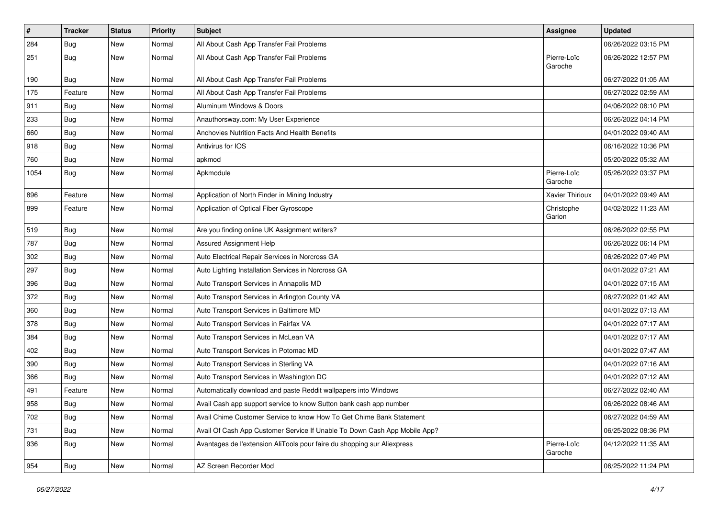| $\vert$ # | Tracker    | <b>Status</b> | <b>Priority</b> | <b>Subject</b>                                                            | Assignee               | <b>Updated</b>      |
|-----------|------------|---------------|-----------------|---------------------------------------------------------------------------|------------------------|---------------------|
| 284       | <b>Bug</b> | New           | Normal          | All About Cash App Transfer Fail Problems                                 |                        | 06/26/2022 03:15 PM |
| 251       | Bug        | New           | Normal          | All About Cash App Transfer Fail Problems                                 | Pierre-Loïc<br>Garoche | 06/26/2022 12:57 PM |
| 190       | Bug        | New           | Normal          | All About Cash App Transfer Fail Problems                                 |                        | 06/27/2022 01:05 AM |
| 175       | Feature    | New           | Normal          | All About Cash App Transfer Fail Problems                                 |                        | 06/27/2022 02:59 AM |
| 911       | Bug        | New           | Normal          | Aluminum Windows & Doors                                                  |                        | 04/06/2022 08:10 PM |
| 233       | Bug        | New           | Normal          | Anauthorsway.com: My User Experience                                      |                        | 06/26/2022 04:14 PM |
| 660       | <b>Bug</b> | New           | Normal          | Anchovies Nutrition Facts And Health Benefits                             |                        | 04/01/2022 09:40 AM |
| 918       | <b>Bug</b> | New           | Normal          | Antivirus for IOS                                                         |                        | 06/16/2022 10:36 PM |
| 760       | Bug        | New           | Normal          | apkmod                                                                    |                        | 05/20/2022 05:32 AM |
| 1054      | Bug        | New           | Normal          | Apkmodule                                                                 | Pierre-Loïc<br>Garoche | 05/26/2022 03:37 PM |
| 896       | Feature    | New           | Normal          | Application of North Finder in Mining Industry                            | Xavier Thirioux        | 04/01/2022 09:49 AM |
| 899       | Feature    | New           | Normal          | Application of Optical Fiber Gyroscope                                    | Christophe<br>Garion   | 04/02/2022 11:23 AM |
| 519       | Bug        | New           | Normal          | Are you finding online UK Assignment writers?                             |                        | 06/26/2022 02:55 PM |
| 787       | <b>Bug</b> | New           | Normal          | Assured Assignment Help                                                   |                        | 06/26/2022 06:14 PM |
| 302       | Bug        | New           | Normal          | Auto Electrical Repair Services in Norcross GA                            |                        | 06/26/2022 07:49 PM |
| 297       | Bug        | New           | Normal          | Auto Lighting Installation Services in Norcross GA                        |                        | 04/01/2022 07:21 AM |
| 396       | Bug        | New           | Normal          | Auto Transport Services in Annapolis MD                                   |                        | 04/01/2022 07:15 AM |
| 372       | Bug        | New           | Normal          | Auto Transport Services in Arlington County VA                            |                        | 06/27/2022 01:42 AM |
| 360       | <b>Bug</b> | New           | Normal          | Auto Transport Services in Baltimore MD                                   |                        | 04/01/2022 07:13 AM |
| 378       | <b>Bug</b> | New           | Normal          | Auto Transport Services in Fairfax VA                                     |                        | 04/01/2022 07:17 AM |
| 384       | <b>Bug</b> | New           | Normal          | Auto Transport Services in McLean VA                                      |                        | 04/01/2022 07:17 AM |
| 402       | <b>Bug</b> | New           | Normal          | Auto Transport Services in Potomac MD                                     |                        | 04/01/2022 07:47 AM |
| 390       | Bug        | New           | Normal          | Auto Transport Services in Sterling VA                                    |                        | 04/01/2022 07:16 AM |
| 366       | Bug        | New           | Normal          | Auto Transport Services in Washington DC                                  |                        | 04/01/2022 07:12 AM |
| 491       | Feature    | New           | Normal          | Automatically download and paste Reddit wallpapers into Windows           |                        | 06/27/2022 02:40 AM |
| 958       | Bug        | New           | Normal          | Avail Cash app support service to know Sutton bank cash app number        |                        | 06/26/2022 08:46 AM |
| 702       | Bug        | New           | Normal          | Avail Chime Customer Service to know How To Get Chime Bank Statement      |                        | 06/27/2022 04:59 AM |
| 731       | Bug        | New           | Normal          | Avail Of Cash App Customer Service If Unable To Down Cash App Mobile App? |                        | 06/25/2022 08:36 PM |
| 936       | Bug        | New           | Normal          | Avantages de l'extension AliTools pour faire du shopping sur Aliexpress   | Pierre-Loïc<br>Garoche | 04/12/2022 11:35 AM |
| 954       | <b>Bug</b> | New           | Normal          | AZ Screen Recorder Mod                                                    |                        | 06/25/2022 11:24 PM |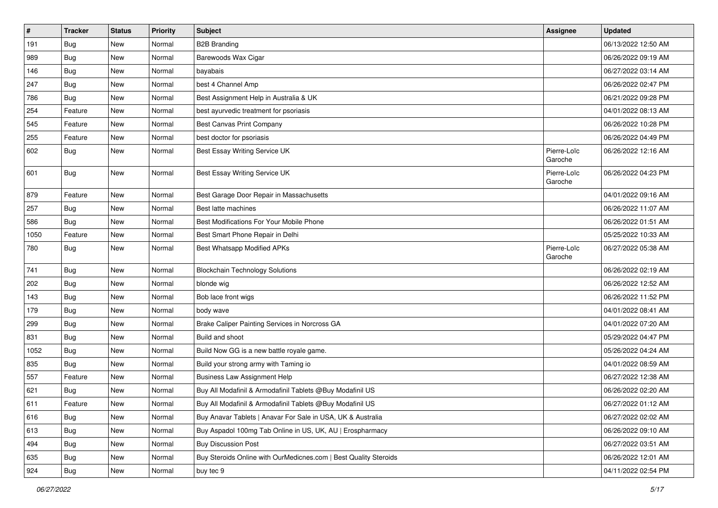| $\vert$ # | <b>Tracker</b> | <b>Status</b> | <b>Priority</b> | Subject                                                          | <b>Assignee</b>        | <b>Updated</b>      |
|-----------|----------------|---------------|-----------------|------------------------------------------------------------------|------------------------|---------------------|
| 191       | <b>Bug</b>     | New           | Normal          | <b>B2B Branding</b>                                              |                        | 06/13/2022 12:50 AM |
| 989       | Bug            | New           | Normal          | Barewoods Wax Cigar                                              |                        | 06/26/2022 09:19 AM |
| 146       | Bug            | New           | Normal          | bayabais                                                         |                        | 06/27/2022 03:14 AM |
| 247       | Bug            | New           | Normal          | best 4 Channel Amp                                               |                        | 06/26/2022 02:47 PM |
| 786       | Bug            | New           | Normal          | Best Assignment Help in Australia & UK                           |                        | 06/21/2022 09:28 PM |
| 254       | Feature        | New           | Normal          | best ayurvedic treatment for psoriasis                           |                        | 04/01/2022 08:13 AM |
| 545       | Feature        | New           | Normal          | Best Canvas Print Company                                        |                        | 06/26/2022 10:28 PM |
| 255       | Feature        | New           | Normal          | best doctor for psoriasis                                        |                        | 06/26/2022 04:49 PM |
| 602       | <b>Bug</b>     | New           | Normal          | Best Essay Writing Service UK                                    | Pierre-Loïc<br>Garoche | 06/26/2022 12:16 AM |
| 601       | Bug            | New           | Normal          | Best Essay Writing Service UK                                    | Pierre-Loïc<br>Garoche | 06/26/2022 04:23 PM |
| 879       | Feature        | New           | Normal          | Best Garage Door Repair in Massachusetts                         |                        | 04/01/2022 09:16 AM |
| 257       | Bug            | New           | Normal          | Best latte machines                                              |                        | 06/26/2022 11:07 AM |
| 586       | Bug            | New           | Normal          | Best Modifications For Your Mobile Phone                         |                        | 06/26/2022 01:51 AM |
| 1050      | Feature        | New           | Normal          | Best Smart Phone Repair in Delhi                                 |                        | 05/25/2022 10:33 AM |
| 780       | Bug            | New           | Normal          | <b>Best Whatsapp Modified APKs</b>                               | Pierre-Loïc<br>Garoche | 06/27/2022 05:38 AM |
| 741       | Bug            | New           | Normal          | <b>Blockchain Technology Solutions</b>                           |                        | 06/26/2022 02:19 AM |
| 202       | <b>Bug</b>     | New           | Normal          | blonde wig                                                       |                        | 06/26/2022 12:52 AM |
| 143       | Bug            | New           | Normal          | Bob lace front wigs                                              |                        | 06/26/2022 11:52 PM |
| 179       | Bug            | New           | Normal          | body wave                                                        |                        | 04/01/2022 08:41 AM |
| 299       | Bug            | New           | Normal          | Brake Caliper Painting Services in Norcross GA                   |                        | 04/01/2022 07:20 AM |
| 831       | Bug            | New           | Normal          | Build and shoot                                                  |                        | 05/29/2022 04:47 PM |
| 1052      | <b>Bug</b>     | New           | Normal          | Build Now GG is a new battle royale game.                        |                        | 05/26/2022 04:24 AM |
| 835       | Bug            | New           | Normal          | Build your strong army with Taming io                            |                        | 04/01/2022 08:59 AM |
| 557       | Feature        | New           | Normal          | <b>Business Law Assignment Help</b>                              |                        | 06/27/2022 12:38 AM |
| 621       | Bug            | New           | Normal          | Buy All Modafinil & Armodafinil Tablets @Buy Modafinil US        |                        | 06/26/2022 02:20 AM |
| 611       | Feature        | New           | Normal          | Buy All Modafinil & Armodafinil Tablets @Buy Modafinil US        |                        | 06/27/2022 01:12 AM |
| 616       | Bug            | New           | Normal          | Buy Anavar Tablets   Anavar For Sale in USA, UK & Australia      |                        | 06/27/2022 02:02 AM |
| 613       | Bug            | New           | Normal          | Buy Aspadol 100mg Tab Online in US, UK, AU   Erospharmacy        |                        | 06/26/2022 09:10 AM |
| 494       | <b>Bug</b>     | New           | Normal          | <b>Buy Discussion Post</b>                                       |                        | 06/27/2022 03:51 AM |
| 635       | Bug            | New           | Normal          | Buy Steroids Online with OurMedicnes.com   Best Quality Steroids |                        | 06/26/2022 12:01 AM |
| 924       | <b>Bug</b>     | New           | Normal          | buy tec 9                                                        |                        | 04/11/2022 02:54 PM |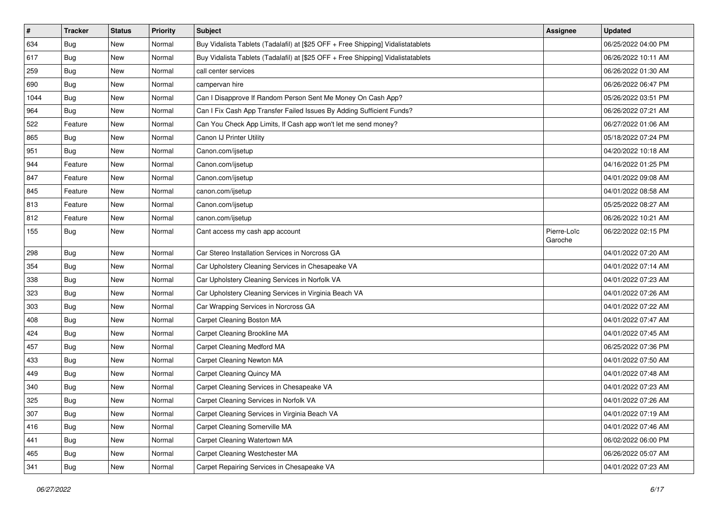| $\vert$ # | <b>Tracker</b> | <b>Status</b> | <b>Priority</b> | <b>Subject</b>                                                                   | <b>Assignee</b>        | <b>Updated</b>      |
|-----------|----------------|---------------|-----------------|----------------------------------------------------------------------------------|------------------------|---------------------|
| 634       | <b>Bug</b>     | New           | Normal          | Buy Vidalista Tablets (Tadalafil) at [\$25 OFF + Free Shipping] Vidalistatablets |                        | 06/25/2022 04:00 PM |
| 617       | Bug            | New           | Normal          | Buy Vidalista Tablets (Tadalafil) at [\$25 OFF + Free Shipping] Vidalistatablets |                        | 06/26/2022 10:11 AM |
| 259       | <b>Bug</b>     | New           | Normal          | call center services                                                             |                        | 06/26/2022 01:30 AM |
| 690       | <b>Bug</b>     | New           | Normal          | campervan hire                                                                   |                        | 06/26/2022 06:47 PM |
| 1044      | Bug            | New           | Normal          | Can I Disapprove If Random Person Sent Me Money On Cash App?                     |                        | 05/26/2022 03:51 PM |
| 964       | <b>Bug</b>     | New           | Normal          | Can I Fix Cash App Transfer Failed Issues By Adding Sufficient Funds?            |                        | 06/26/2022 07:21 AM |
| 522       | Feature        | New           | Normal          | Can You Check App Limits, If Cash app won't let me send money?                   |                        | 06/27/2022 01:06 AM |
| 865       | Bug            | New           | Normal          | Canon IJ Printer Utility                                                         |                        | 05/18/2022 07:24 PM |
| 951       | Bug            | New           | Normal          | Canon.com/ijsetup                                                                |                        | 04/20/2022 10:18 AM |
| 944       | Feature        | New           | Normal          | Canon.com/ijsetup                                                                |                        | 04/16/2022 01:25 PM |
| 847       | Feature        | New           | Normal          | Canon.com/ijsetup                                                                |                        | 04/01/2022 09:08 AM |
| 845       | Feature        | New           | Normal          | canon.com/ijsetup                                                                |                        | 04/01/2022 08:58 AM |
| 813       | Feature        | New           | Normal          | Canon.com/ijsetup                                                                |                        | 05/25/2022 08:27 AM |
| 812       | Feature        | New           | Normal          | canon.com/ijsetup                                                                |                        | 06/26/2022 10:21 AM |
| 155       | <b>Bug</b>     | New           | Normal          | Cant access my cash app account                                                  | Pierre-Loïc<br>Garoche | 06/22/2022 02:15 PM |
| 298       | <b>Bug</b>     | New           | Normal          | Car Stereo Installation Services in Norcross GA                                  |                        | 04/01/2022 07:20 AM |
| 354       | <b>Bug</b>     | New           | Normal          | Car Upholstery Cleaning Services in Chesapeake VA                                |                        | 04/01/2022 07:14 AM |
| 338       | <b>Bug</b>     | New           | Normal          | Car Upholstery Cleaning Services in Norfolk VA                                   |                        | 04/01/2022 07:23 AM |
| 323       | <b>Bug</b>     | New           | Normal          | Car Upholstery Cleaning Services in Virginia Beach VA                            |                        | 04/01/2022 07:26 AM |
| 303       | Bug            | New           | Normal          | Car Wrapping Services in Norcross GA                                             |                        | 04/01/2022 07:22 AM |
| 408       | Bug            | New           | Normal          | Carpet Cleaning Boston MA                                                        |                        | 04/01/2022 07:47 AM |
| 424       | <b>Bug</b>     | New           | Normal          | Carpet Cleaning Brookline MA                                                     |                        | 04/01/2022 07:45 AM |
| 457       | <b>Bug</b>     | New           | Normal          | Carpet Cleaning Medford MA                                                       |                        | 06/25/2022 07:36 PM |
| 433       | <b>Bug</b>     | New           | Normal          | Carpet Cleaning Newton MA                                                        |                        | 04/01/2022 07:50 AM |
| 449       | Bug            | New           | Normal          | Carpet Cleaning Quincy MA                                                        |                        | 04/01/2022 07:48 AM |
| 340       | <b>Bug</b>     | New           | Normal          | Carpet Cleaning Services in Chesapeake VA                                        |                        | 04/01/2022 07:23 AM |
| 325       | Bug            | New           | Normal          | Carpet Cleaning Services in Norfolk VA                                           |                        | 04/01/2022 07:26 AM |
| 307       | Bug            | New           | Normal          | Carpet Cleaning Services in Virginia Beach VA                                    |                        | 04/01/2022 07:19 AM |
| 416       | Bug            | New           | Normal          | Carpet Cleaning Somerville MA                                                    |                        | 04/01/2022 07:46 AM |
| 441       | Bug            | New           | Normal          | Carpet Cleaning Watertown MA                                                     |                        | 06/02/2022 06:00 PM |
| 465       | <b>Bug</b>     | New           | Normal          | Carpet Cleaning Westchester MA                                                   |                        | 06/26/2022 05:07 AM |
| 341       | Bug            | New           | Normal          | Carpet Repairing Services in Chesapeake VA                                       |                        | 04/01/2022 07:23 AM |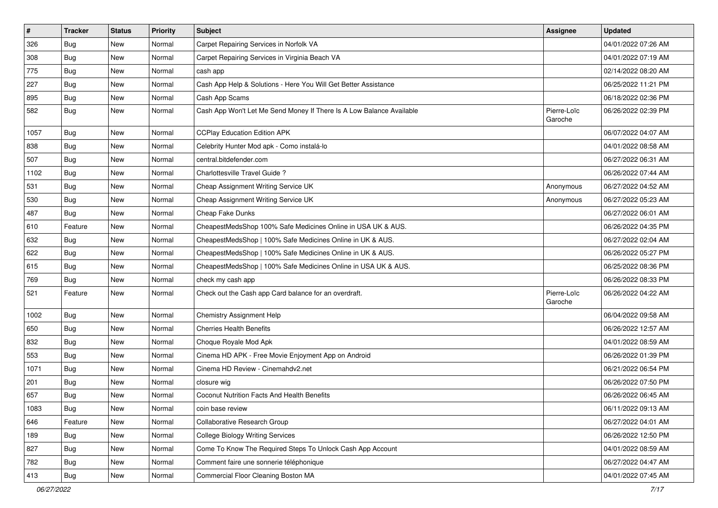| $\vert$ # | <b>Tracker</b> | <b>Status</b> | <b>Priority</b> | <b>Subject</b>                                                       | <b>Assignee</b>        | <b>Updated</b>      |
|-----------|----------------|---------------|-----------------|----------------------------------------------------------------------|------------------------|---------------------|
| 326       | <b>Bug</b>     | New           | Normal          | Carpet Repairing Services in Norfolk VA                              |                        | 04/01/2022 07:26 AM |
| 308       | Bug            | New           | Normal          | Carpet Repairing Services in Virginia Beach VA                       |                        | 04/01/2022 07:19 AM |
| 775       | Bug            | New           | Normal          | cash app                                                             |                        | 02/14/2022 08:20 AM |
| 227       | <b>Bug</b>     | New           | Normal          | Cash App Help & Solutions - Here You Will Get Better Assistance      |                        | 06/25/2022 11:21 PM |
| 895       | Bug            | New           | Normal          | Cash App Scams                                                       |                        | 06/18/2022 02:36 PM |
| 582       | Bug            | New           | Normal          | Cash App Won't Let Me Send Money If There Is A Low Balance Available | Pierre-Loïc<br>Garoche | 06/26/2022 02:39 PM |
| 1057      | Bug            | New           | Normal          | <b>CCPlay Education Edition APK</b>                                  |                        | 06/07/2022 04:07 AM |
| 838       | <b>Bug</b>     | New           | Normal          | Celebrity Hunter Mod apk - Como instalá-lo                           |                        | 04/01/2022 08:58 AM |
| 507       | Bug            | <b>New</b>    | Normal          | central.bitdefender.com                                              |                        | 06/27/2022 06:31 AM |
| 1102      | Bug            | New           | Normal          | Charlottesville Travel Guide ?                                       |                        | 06/26/2022 07:44 AM |
| 531       | Bug            | New           | Normal          | Cheap Assignment Writing Service UK                                  | Anonymous              | 06/27/2022 04:52 AM |
| 530       | Bug            | New           | Normal          | Cheap Assignment Writing Service UK                                  | Anonymous              | 06/27/2022 05:23 AM |
| 487       | Bug            | New           | Normal          | Cheap Fake Dunks                                                     |                        | 06/27/2022 06:01 AM |
| 610       | Feature        | New           | Normal          | CheapestMedsShop 100% Safe Medicines Online in USA UK & AUS.         |                        | 06/26/2022 04:35 PM |
| 632       | Bug            | New           | Normal          | CheapestMedsShop   100% Safe Medicines Online in UK & AUS.           |                        | 06/27/2022 02:04 AM |
| 622       | <b>Bug</b>     | New           | Normal          | CheapestMedsShop   100% Safe Medicines Online in UK & AUS.           |                        | 06/26/2022 05:27 PM |
| 615       | Bug            | New           | Normal          | CheapestMedsShop   100% Safe Medicines Online in USA UK & AUS.       |                        | 06/25/2022 08:36 PM |
| 769       | Bug            | New           | Normal          | check my cash app                                                    |                        | 06/26/2022 08:33 PM |
| 521       | Feature        | New           | Normal          | Check out the Cash app Card balance for an overdraft.                | Pierre-Loïc<br>Garoche | 06/26/2022 04:22 AM |
| 1002      | Bug            | New           | Normal          | Chemistry Assignment Help                                            |                        | 06/04/2022 09:58 AM |
| 650       | Bug            | New           | Normal          | <b>Cherries Health Benefits</b>                                      |                        | 06/26/2022 12:57 AM |
| 832       | Bug            | New           | Normal          | Choque Royale Mod Apk                                                |                        | 04/01/2022 08:59 AM |
| 553       | <b>Bug</b>     | New           | Normal          | Cinema HD APK - Free Movie Enjoyment App on Android                  |                        | 06/26/2022 01:39 PM |
| 1071      | Bug            | New           | Normal          | Cinema HD Review - Cinemahdv2.net                                    |                        | 06/21/2022 06:54 PM |
| 201       | Bug            | New           | Normal          | closure wig                                                          |                        | 06/26/2022 07:50 PM |
| 657       | <b>Bug</b>     | New           | Normal          | <b>Coconut Nutrition Facts And Health Benefits</b>                   |                        | 06/26/2022 06:45 AM |
| 1083      | <b>Bug</b>     | New           | Normal          | coin base review                                                     |                        | 06/11/2022 09:13 AM |
| 646       | Feature        | New           | Normal          | Collaborative Research Group                                         |                        | 06/27/2022 04:01 AM |
| 189       | Bug            | New           | Normal          | <b>College Biology Writing Services</b>                              |                        | 06/26/2022 12:50 PM |
| 827       | <b>Bug</b>     | New           | Normal          | Come To Know The Required Steps To Unlock Cash App Account           |                        | 04/01/2022 08:59 AM |
| 782       | <b>Bug</b>     | New           | Normal          | Comment faire une sonnerie téléphonique                              |                        | 06/27/2022 04:47 AM |
| 413       | <b>Bug</b>     | New           | Normal          | Commercial Floor Cleaning Boston MA                                  |                        | 04/01/2022 07:45 AM |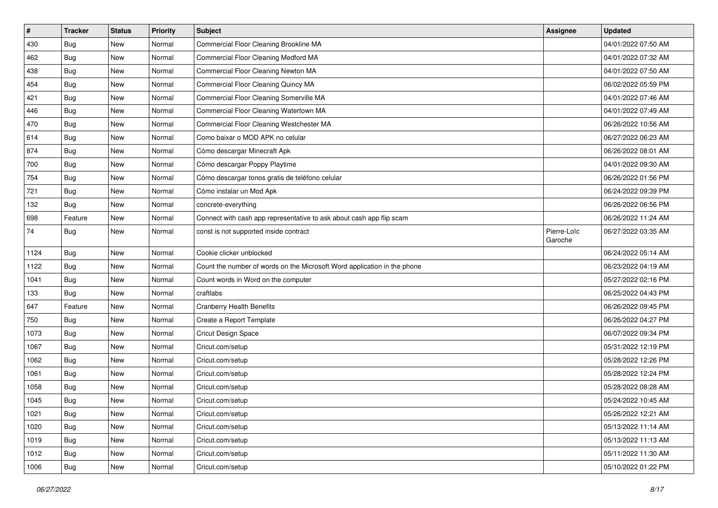| $\vert$ # | <b>Tracker</b> | <b>Status</b> | Priority | <b>Subject</b>                                                           | <b>Assignee</b>        | <b>Updated</b>      |
|-----------|----------------|---------------|----------|--------------------------------------------------------------------------|------------------------|---------------------|
| 430       | <b>Bug</b>     | New           | Normal   | Commercial Floor Cleaning Brookline MA                                   |                        | 04/01/2022 07:50 AM |
| 462       | <b>Bug</b>     | New           | Normal   | Commercial Floor Cleaning Medford MA                                     |                        | 04/01/2022 07:32 AM |
| 438       | Bug            | New           | Normal   | Commercial Floor Cleaning Newton MA                                      |                        | 04/01/2022 07:50 AM |
| 454       | <b>Bug</b>     | New           | Normal   | Commercial Floor Cleaning Quincy MA                                      |                        | 06/02/2022 05:59 PM |
| 421       | Bug            | New           | Normal   | Commercial Floor Cleaning Somerville MA                                  |                        | 04/01/2022 07:46 AM |
| 446       | Bug            | New           | Normal   | Commercial Floor Cleaning Watertown MA                                   |                        | 04/01/2022 07:49 AM |
| 470       | Bug            | New           | Normal   | Commercial Floor Cleaning Westchester MA                                 |                        | 06/26/2022 10:56 AM |
| 614       | <b>Bug</b>     | New           | Normal   | Como baixar o MOD APK no celular                                         |                        | 06/27/2022 06:23 AM |
| 874       | <b>Bug</b>     | New           | Normal   | Cómo descargar Minecraft Apk                                             |                        | 06/26/2022 08:01 AM |
| 700       | Bug            | New           | Normal   | Cómo descargar Poppy Playtime                                            |                        | 04/01/2022 09:30 AM |
| 754       | <b>Bug</b>     | New           | Normal   | Cómo descargar tonos gratis de teléfono celular                          |                        | 06/26/2022 01:56 PM |
| 721       | <b>Bug</b>     | New           | Normal   | Cómo instalar un Mod Apk                                                 |                        | 06/24/2022 09:39 PM |
| 132       | <b>Bug</b>     | New           | Normal   | concrete-everything                                                      |                        | 06/26/2022 06:56 PM |
| 698       | Feature        | New           | Normal   | Connect with cash app representative to ask about cash app flip scam     |                        | 06/26/2022 11:24 AM |
| 74        | <b>Bug</b>     | New           | Normal   | const is not supported inside contract                                   | Pierre-Loïc<br>Garoche | 06/27/2022 03:35 AM |
| 1124      | Bug            | <b>New</b>    | Normal   | Cookie clicker unblocked                                                 |                        | 06/24/2022 05:14 AM |
| 1122      | <b>Bug</b>     | New           | Normal   | Count the number of words on the Microsoft Word application in the phone |                        | 06/23/2022 04:19 AM |
| 1041      | <b>Bug</b>     | New           | Normal   | Count words in Word on the computer                                      |                        | 05/27/2022 02:16 PM |
| 133       | Bug            | New           | Normal   | craftlabs                                                                |                        | 06/25/2022 04:43 PM |
| 647       | Feature        | New           | Normal   | <b>Cranberry Health Benefits</b>                                         |                        | 06/26/2022 09:45 PM |
| 750       | <b>Bug</b>     | New           | Normal   | Create a Report Template                                                 |                        | 06/26/2022 04:27 PM |
| 1073      | Bug            | New           | Normal   | Cricut Design Space                                                      |                        | 06/07/2022 09:34 PM |
| 1067      | <b>Bug</b>     | New           | Normal   | Cricut.com/setup                                                         |                        | 05/31/2022 12:19 PM |
| 1062      | <b>Bug</b>     | New           | Normal   | Cricut.com/setup                                                         |                        | 05/28/2022 12:26 PM |
| 1061      | Bug            | New           | Normal   | Cricut.com/setup                                                         |                        | 05/28/2022 12:24 PM |
| 1058      | <b>Bug</b>     | New           | Normal   | Cricut.com/setup                                                         |                        | 05/28/2022 08:28 AM |
| 1045      | <b>Bug</b>     | New           | Normal   | Cricut.com/setup                                                         |                        | 05/24/2022 10:45 AM |
| 1021      | Bug            | New           | Normal   | Cricut.com/setup                                                         |                        | 05/26/2022 12:21 AM |
| 1020      | Bug            | New           | Normal   | Cricut.com/setup                                                         |                        | 05/13/2022 11:14 AM |
| 1019      | <b>Bug</b>     | New           | Normal   | Cricut.com/setup                                                         |                        | 05/13/2022 11:13 AM |
| 1012      | Bug            | New           | Normal   | Cricut.com/setup                                                         |                        | 05/11/2022 11:30 AM |
| 1006      | Bug            | New           | Normal   | Cricut.com/setup                                                         |                        | 05/10/2022 01:22 PM |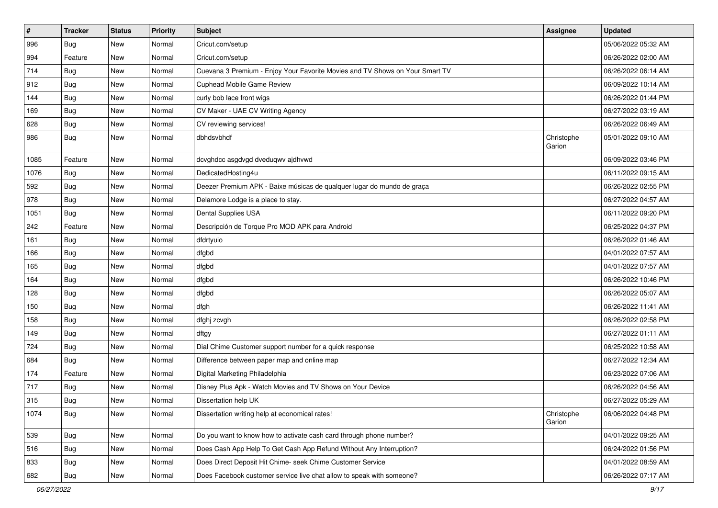| $\pmb{\#}$ | <b>Tracker</b> | <b>Status</b> | Priority | <b>Subject</b>                                                               | <b>Assignee</b>      | <b>Updated</b>      |
|------------|----------------|---------------|----------|------------------------------------------------------------------------------|----------------------|---------------------|
| 996        | Bug            | New           | Normal   | Cricut.com/setup                                                             |                      | 05/06/2022 05:32 AM |
| 994        | Feature        | New           | Normal   | Cricut.com/setup                                                             |                      | 06/26/2022 02:00 AM |
| 714        | Bug            | New           | Normal   | Cuevana 3 Premium - Enjoy Your Favorite Movies and TV Shows on Your Smart TV |                      | 06/26/2022 06:14 AM |
| 912        | <b>Bug</b>     | New           | Normal   | <b>Cuphead Mobile Game Review</b>                                            |                      | 06/09/2022 10:14 AM |
| 144        | Bug            | New           | Normal   | curly bob lace front wigs                                                    |                      | 06/26/2022 01:44 PM |
| 169        | Bug            | New           | Normal   | CV Maker - UAE CV Writing Agency                                             |                      | 06/27/2022 03:19 AM |
| 628        | Bug            | New           | Normal   | CV reviewing services!                                                       |                      | 06/26/2022 06:49 AM |
| 986        | Bug            | New           | Normal   | dbhdsvbhdf                                                                   | Christophe<br>Garion | 05/01/2022 09:10 AM |
| 1085       | Feature        | <b>New</b>    | Normal   | dcvghdcc asgdvgd dveduqwv ajdhvwd                                            |                      | 06/09/2022 03:46 PM |
| 1076       | Bug            | New           | Normal   | DedicatedHosting4u                                                           |                      | 06/11/2022 09:15 AM |
| 592        | <b>Bug</b>     | New           | Normal   | Deezer Premium APK - Baixe músicas de qualquer lugar do mundo de graça       |                      | 06/26/2022 02:55 PM |
| 978        | <b>Bug</b>     | New           | Normal   | Delamore Lodge is a place to stay.                                           |                      | 06/27/2022 04:57 AM |
| 1051       | Bug            | New           | Normal   | Dental Supplies USA                                                          |                      | 06/11/2022 09:20 PM |
| 242        | Feature        | New           | Normal   | Descripción de Torque Pro MOD APK para Android                               |                      | 06/25/2022 04:37 PM |
| 161        | Bug            | New           | Normal   | dfdrtyuio                                                                    |                      | 06/26/2022 01:46 AM |
| 166        | Bug            | New           | Normal   | dfgbd                                                                        |                      | 04/01/2022 07:57 AM |
| 165        | Bug            | New           | Normal   | dfgbd                                                                        |                      | 04/01/2022 07:57 AM |
| 164        | Bug            | New           | Normal   | dfgbd                                                                        |                      | 06/26/2022 10:46 PM |
| 128        | Bug            | New           | Normal   | dfgbd                                                                        |                      | 06/26/2022 05:07 AM |
| 150        | Bug            | New           | Normal   | dfgh                                                                         |                      | 06/26/2022 11:41 AM |
| 158        | Bug            | New           | Normal   | dfghj zcvgh                                                                  |                      | 06/26/2022 02:58 PM |
| 149        | Bug            | New           | Normal   | dftgy                                                                        |                      | 06/27/2022 01:11 AM |
| 724        | <b>Bug</b>     | New           | Normal   | Dial Chime Customer support number for a quick response                      |                      | 06/25/2022 10:58 AM |
| 684        | Bug            | New           | Normal   | Difference between paper map and online map                                  |                      | 06/27/2022 12:34 AM |
| 174        | Feature        | New           | Normal   | Digital Marketing Philadelphia                                               |                      | 06/23/2022 07:06 AM |
| 717        | <b>Bug</b>     | New           | Normal   | Disney Plus Apk - Watch Movies and TV Shows on Your Device                   |                      | 06/26/2022 04:56 AM |
| 315        | <b>Bug</b>     | New           | Normal   | Dissertation help UK                                                         |                      | 06/27/2022 05:29 AM |
| 1074       | <b>Bug</b>     | New           | Normal   | Dissertation writing help at economical rates!                               | Christophe<br>Garion | 06/06/2022 04:48 PM |
| 539        | <b>Bug</b>     | New           | Normal   | Do you want to know how to activate cash card through phone number?          |                      | 04/01/2022 09:25 AM |
| 516        | <b>Bug</b>     | New           | Normal   | Does Cash App Help To Get Cash App Refund Without Any Interruption?          |                      | 06/24/2022 01:56 PM |
| 833        | <b>Bug</b>     | New           | Normal   | Does Direct Deposit Hit Chime- seek Chime Customer Service                   |                      | 04/01/2022 08:59 AM |
| 682        | Bug            | New           | Normal   | Does Facebook customer service live chat allow to speak with someone?        |                      | 06/26/2022 07:17 AM |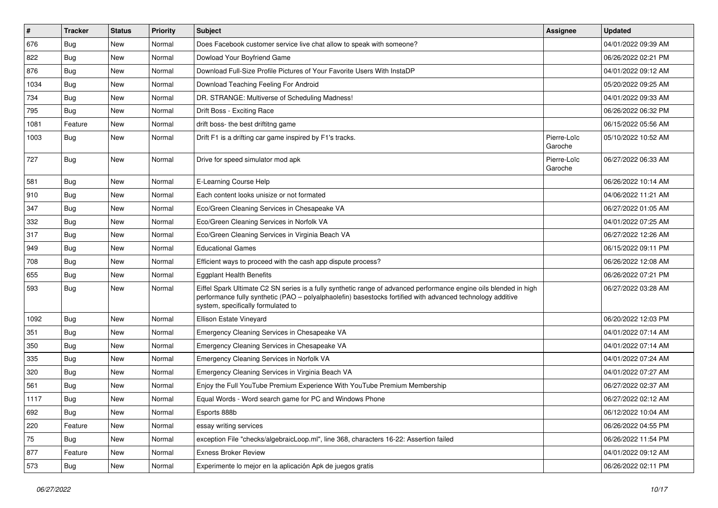| #    | <b>Tracker</b> | <b>Status</b> | Priority | Subject                                                                                                                                                                                                                                                               | Assignee               | <b>Updated</b>      |
|------|----------------|---------------|----------|-----------------------------------------------------------------------------------------------------------------------------------------------------------------------------------------------------------------------------------------------------------------------|------------------------|---------------------|
| 676  | <b>Bug</b>     | New           | Normal   | Does Facebook customer service live chat allow to speak with someone?                                                                                                                                                                                                 |                        | 04/01/2022 09:39 AM |
| 822  | Bug            | New           | Normal   | Dowload Your Boyfriend Game                                                                                                                                                                                                                                           |                        | 06/26/2022 02:21 PM |
| 876  | Bug            | New           | Normal   | Download Full-Size Profile Pictures of Your Favorite Users With InstaDP                                                                                                                                                                                               |                        | 04/01/2022 09:12 AM |
| 1034 | <b>Bug</b>     | New           | Normal   | Download Teaching Feeling For Android                                                                                                                                                                                                                                 |                        | 05/20/2022 09:25 AM |
| 734  | Bug            | New           | Normal   | DR. STRANGE: Multiverse of Scheduling Madness!                                                                                                                                                                                                                        |                        | 04/01/2022 09:33 AM |
| 795  | <b>Bug</b>     | New           | Normal   | Drift Boss - Exciting Race                                                                                                                                                                                                                                            |                        | 06/26/2022 06:32 PM |
| 1081 | Feature        | New           | Normal   | drift boss- the best driftitng game                                                                                                                                                                                                                                   |                        | 06/15/2022 05:56 AM |
| 1003 | Bug            | New           | Normal   | Drift F1 is a drifting car game inspired by F1's tracks.                                                                                                                                                                                                              | Pierre-Loïc<br>Garoche | 05/10/2022 10:52 AM |
| 727  | <b>Bug</b>     | New           | Normal   | Drive for speed simulator mod apk                                                                                                                                                                                                                                     | Pierre-Loïc<br>Garoche | 06/27/2022 06:33 AM |
| 581  | <b>Bug</b>     | New           | Normal   | E-Learning Course Help                                                                                                                                                                                                                                                |                        | 06/26/2022 10:14 AM |
| 910  | Bug            | New           | Normal   | Each content looks unisize or not formated                                                                                                                                                                                                                            |                        | 04/06/2022 11:21 AM |
| 347  | <b>Bug</b>     | New           | Normal   | Eco/Green Cleaning Services in Chesapeake VA                                                                                                                                                                                                                          |                        | 06/27/2022 01:05 AM |
| 332  | <b>Bug</b>     | New           | Normal   | Eco/Green Cleaning Services in Norfolk VA                                                                                                                                                                                                                             |                        | 04/01/2022 07:25 AM |
| 317  | Bug            | New           | Normal   | Eco/Green Cleaning Services in Virginia Beach VA                                                                                                                                                                                                                      |                        | 06/27/2022 12:26 AM |
| 949  | Bug            | New           | Normal   | <b>Educational Games</b>                                                                                                                                                                                                                                              |                        | 06/15/2022 09:11 PM |
| 708  | <b>Bug</b>     | New           | Normal   | Efficient ways to proceed with the cash app dispute process?                                                                                                                                                                                                          |                        | 06/26/2022 12:08 AM |
| 655  | Bug            | New           | Normal   | <b>Eggplant Health Benefits</b>                                                                                                                                                                                                                                       |                        | 06/26/2022 07:21 PM |
| 593  | Bug            | New           | Normal   | Eiffel Spark Ultimate C2 SN series is a fully synthetic range of advanced performance engine oils blended in high<br>performance fully synthetic (PAO - polyalphaolefin) basestocks fortified with advanced technology additive<br>system, specifically formulated to |                        | 06/27/2022 03:28 AM |
| 1092 | Bug            | New           | Normal   | Ellison Estate Vineyard                                                                                                                                                                                                                                               |                        | 06/20/2022 12:03 PM |
| 351  | Bug            | New           | Normal   | Emergency Cleaning Services in Chesapeake VA                                                                                                                                                                                                                          |                        | 04/01/2022 07:14 AM |
| 350  | Bug            | New           | Normal   | Emergency Cleaning Services in Chesapeake VA                                                                                                                                                                                                                          |                        | 04/01/2022 07:14 AM |
| 335  | <b>Bug</b>     | New           | Normal   | Emergency Cleaning Services in Norfolk VA                                                                                                                                                                                                                             |                        | 04/01/2022 07:24 AM |
| 320  | Bug            | New           | Normal   | Emergency Cleaning Services in Virginia Beach VA                                                                                                                                                                                                                      |                        | 04/01/2022 07:27 AM |
| 561  | <b>Bug</b>     | New           | Normal   | Enjoy the Full YouTube Premium Experience With YouTube Premium Membership                                                                                                                                                                                             |                        | 06/27/2022 02:37 AM |
| 1117 | Bug            | New           | Normal   | Equal Words - Word search game for PC and Windows Phone                                                                                                                                                                                                               |                        | 06/27/2022 02:12 AM |
| 692  | Bug            | New           | Normal   | Esports 888b                                                                                                                                                                                                                                                          |                        | 06/12/2022 10:04 AM |
| 220  | Feature        | New           | Normal   | essay writing services                                                                                                                                                                                                                                                |                        | 06/26/2022 04:55 PM |
| 75   | Bug            | New           | Normal   | exception File "checks/algebraicLoop.ml", line 368, characters 16-22: Assertion failed                                                                                                                                                                                |                        | 06/26/2022 11:54 PM |
| 877  | Feature        | New           | Normal   | <b>Exness Broker Review</b>                                                                                                                                                                                                                                           |                        | 04/01/2022 09:12 AM |
| 573  | Bug            | New           | Normal   | Experimente lo mejor en la aplicación Apk de juegos gratis                                                                                                                                                                                                            |                        | 06/26/2022 02:11 PM |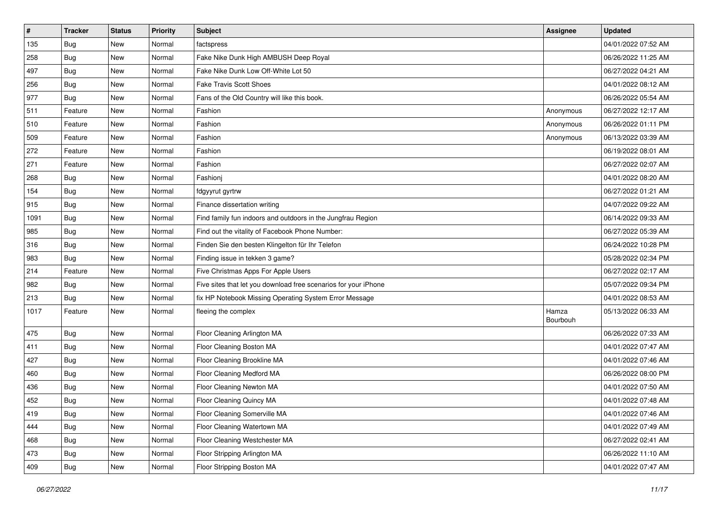| $\vert$ # | <b>Tracker</b> | <b>Status</b> | <b>Priority</b> | <b>Subject</b>                                                  | Assignee          | <b>Updated</b>      |
|-----------|----------------|---------------|-----------------|-----------------------------------------------------------------|-------------------|---------------------|
| 135       | <b>Bug</b>     | New           | Normal          | factspress                                                      |                   | 04/01/2022 07:52 AM |
| 258       | Bug            | New           | Normal          | Fake Nike Dunk High AMBUSH Deep Royal                           |                   | 06/26/2022 11:25 AM |
| 497       | Bug            | New           | Normal          | Fake Nike Dunk Low Off-White Lot 50                             |                   | 06/27/2022 04:21 AM |
| 256       | <b>Bug</b>     | New           | Normal          | <b>Fake Travis Scott Shoes</b>                                  |                   | 04/01/2022 08:12 AM |
| 977       | <b>Bug</b>     | New           | Normal          | Fans of the Old Country will like this book.                    |                   | 06/26/2022 05:54 AM |
| 511       | Feature        | New           | Normal          | Fashion                                                         | Anonymous         | 06/27/2022 12:17 AM |
| 510       | Feature        | New           | Normal          | Fashion                                                         | Anonymous         | 06/26/2022 01:11 PM |
| 509       | Feature        | New           | Normal          | Fashion                                                         | Anonymous         | 06/13/2022 03:39 AM |
| 272       | Feature        | New           | Normal          | Fashion                                                         |                   | 06/19/2022 08:01 AM |
| 271       | Feature        | New           | Normal          | Fashion                                                         |                   | 06/27/2022 02:07 AM |
| 268       | <b>Bug</b>     | New           | Normal          | Fashionj                                                        |                   | 04/01/2022 08:20 AM |
| 154       | <b>Bug</b>     | New           | Normal          | fdgyyrut gyrtrw                                                 |                   | 06/27/2022 01:21 AM |
| 915       | Bug            | New           | Normal          | Finance dissertation writing                                    |                   | 04/07/2022 09:22 AM |
| 1091      | <b>Bug</b>     | New           | Normal          | Find family fun indoors and outdoors in the Jungfrau Region     |                   | 06/14/2022 09:33 AM |
| 985       | Bug            | New           | Normal          | Find out the vitality of Facebook Phone Number:                 |                   | 06/27/2022 05:39 AM |
| 316       | <b>Bug</b>     | New           | Normal          | Finden Sie den besten Klingelton für Ihr Telefon                |                   | 06/24/2022 10:28 PM |
| 983       | <b>Bug</b>     | New           | Normal          | Finding issue in tekken 3 game?                                 |                   | 05/28/2022 02:34 PM |
| 214       | Feature        | New           | Normal          | Five Christmas Apps For Apple Users                             |                   | 06/27/2022 02:17 AM |
| 982       | Bug            | New           | Normal          | Five sites that let you download free scenarios for your iPhone |                   | 05/07/2022 09:34 PM |
| 213       | Bug            | New           | Normal          | fix HP Notebook Missing Operating System Error Message          |                   | 04/01/2022 08:53 AM |
| 1017      | Feature        | New           | Normal          | fleeing the complex                                             | Hamza<br>Bourbouh | 05/13/2022 06:33 AM |
| 475       | Bug            | New           | Normal          | Floor Cleaning Arlington MA                                     |                   | 06/26/2022 07:33 AM |
| 411       | <b>Bug</b>     | New           | Normal          | Floor Cleaning Boston MA                                        |                   | 04/01/2022 07:47 AM |
| 427       | Bug            | New           | Normal          | Floor Cleaning Brookline MA                                     |                   | 04/01/2022 07:46 AM |
| 460       | Bug            | New           | Normal          | Floor Cleaning Medford MA                                       |                   | 06/26/2022 08:00 PM |
| 436       | <b>Bug</b>     | New           | Normal          | Floor Cleaning Newton MA                                        |                   | 04/01/2022 07:50 AM |
| 452       | <b>Bug</b>     | New           | Normal          | Floor Cleaning Quincy MA                                        |                   | 04/01/2022 07:48 AM |
| 419       | <b>Bug</b>     | New           | Normal          | Floor Cleaning Somerville MA                                    |                   | 04/01/2022 07:46 AM |
| 444       | <b>Bug</b>     | New           | Normal          | Floor Cleaning Watertown MA                                     |                   | 04/01/2022 07:49 AM |
| 468       | Bug            | New           | Normal          | Floor Cleaning Westchester MA                                   |                   | 06/27/2022 02:41 AM |
| 473       | <b>Bug</b>     | New           | Normal          | Floor Stripping Arlington MA                                    |                   | 06/26/2022 11:10 AM |
| 409       | <b>Bug</b>     | New           | Normal          | Floor Stripping Boston MA                                       |                   | 04/01/2022 07:47 AM |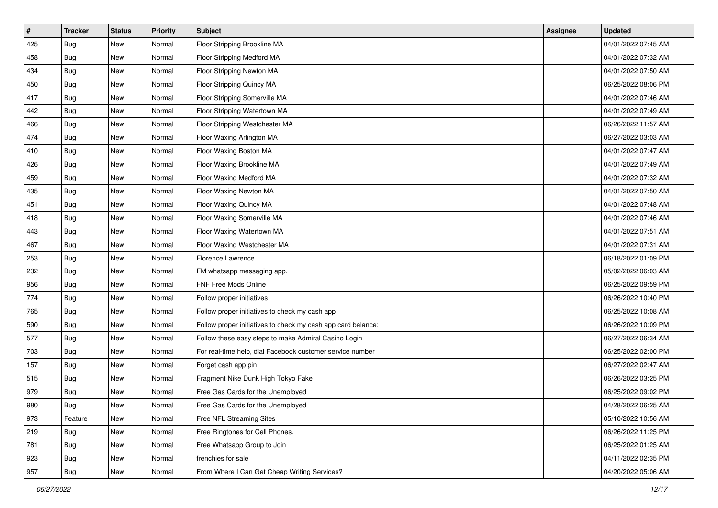| $\vert$ # | <b>Tracker</b> | <b>Status</b> | Priority | <b>Subject</b>                                               | <b>Assignee</b> | <b>Updated</b>      |
|-----------|----------------|---------------|----------|--------------------------------------------------------------|-----------------|---------------------|
| 425       | <b>Bug</b>     | New           | Normal   | Floor Stripping Brookline MA                                 |                 | 04/01/2022 07:45 AM |
| 458       | <b>Bug</b>     | New           | Normal   | Floor Stripping Medford MA                                   |                 | 04/01/2022 07:32 AM |
| 434       | Bug            | New           | Normal   | Floor Stripping Newton MA                                    |                 | 04/01/2022 07:50 AM |
| 450       | <b>Bug</b>     | New           | Normal   | Floor Stripping Quincy MA                                    |                 | 06/25/2022 08:06 PM |
| 417       | Bug            | New           | Normal   | Floor Stripping Somerville MA                                |                 | 04/01/2022 07:46 AM |
| 442       | <b>Bug</b>     | New           | Normal   | Floor Stripping Watertown MA                                 |                 | 04/01/2022 07:49 AM |
| 466       | Bug            | New           | Normal   | Floor Stripping Westchester MA                               |                 | 06/26/2022 11:57 AM |
| 474       | <b>Bug</b>     | New           | Normal   | Floor Waxing Arlington MA                                    |                 | 06/27/2022 03:03 AM |
| 410       | <b>Bug</b>     | New           | Normal   | Floor Waxing Boston MA                                       |                 | 04/01/2022 07:47 AM |
| 426       | <b>Bug</b>     | New           | Normal   | Floor Waxing Brookline MA                                    |                 | 04/01/2022 07:49 AM |
| 459       | <b>Bug</b>     | New           | Normal   | Floor Waxing Medford MA                                      |                 | 04/01/2022 07:32 AM |
| 435       | Bug            | New           | Normal   | Floor Waxing Newton MA                                       |                 | 04/01/2022 07:50 AM |
| 451       | Bug            | New           | Normal   | Floor Waxing Quincy MA                                       |                 | 04/01/2022 07:48 AM |
| 418       | <b>Bug</b>     | New           | Normal   | Floor Waxing Somerville MA                                   |                 | 04/01/2022 07:46 AM |
| 443       | Bug            | New           | Normal   | Floor Waxing Watertown MA                                    |                 | 04/01/2022 07:51 AM |
| 467       | <b>Bug</b>     | New           | Normal   | Floor Waxing Westchester MA                                  |                 | 04/01/2022 07:31 AM |
| 253       | <b>Bug</b>     | New           | Normal   | Florence Lawrence                                            |                 | 06/18/2022 01:09 PM |
| 232       | <b>Bug</b>     | New           | Normal   | FM whatsapp messaging app.                                   |                 | 05/02/2022 06:03 AM |
| 956       | <b>Bug</b>     | New           | Normal   | FNF Free Mods Online                                         |                 | 06/25/2022 09:59 PM |
| 774       | <b>Bug</b>     | New           | Normal   | Follow proper initiatives                                    |                 | 06/26/2022 10:40 PM |
| 765       | <b>Bug</b>     | New           | Normal   | Follow proper initiatives to check my cash app               |                 | 06/25/2022 10:08 AM |
| 590       | <b>Bug</b>     | New           | Normal   | Follow proper initiatives to check my cash app card balance: |                 | 06/26/2022 10:09 PM |
| 577       | Bug            | New           | Normal   | Follow these easy steps to make Admiral Casino Login         |                 | 06/27/2022 06:34 AM |
| 703       | <b>Bug</b>     | New           | Normal   | For real-time help, dial Facebook customer service number    |                 | 06/25/2022 02:00 PM |
| 157       | <b>Bug</b>     | New           | Normal   | Forget cash app pin                                          |                 | 06/27/2022 02:47 AM |
| 515       | Bug            | New           | Normal   | Fragment Nike Dunk High Tokyo Fake                           |                 | 06/26/2022 03:25 PM |
| 979       | Bug            | New           | Normal   | Free Gas Cards for the Unemployed                            |                 | 06/25/2022 09:02 PM |
| 980       | Bug            | New           | Normal   | Free Gas Cards for the Unemployed                            |                 | 04/28/2022 06:25 AM |
| 973       | Feature        | New           | Normal   | Free NFL Streaming Sites                                     |                 | 05/10/2022 10:56 AM |
| 219       | Bug            | New           | Normal   | Free Ringtones for Cell Phones.                              |                 | 06/26/2022 11:25 PM |
| 781       | Bug            | New           | Normal   | Free Whatsapp Group to Join                                  |                 | 06/25/2022 01:25 AM |
| 923       | <b>Bug</b>     | New           | Normal   | frenchies for sale                                           |                 | 04/11/2022 02:35 PM |
| 957       | Bug            | New           | Normal   | From Where I Can Get Cheap Writing Services?                 |                 | 04/20/2022 05:06 AM |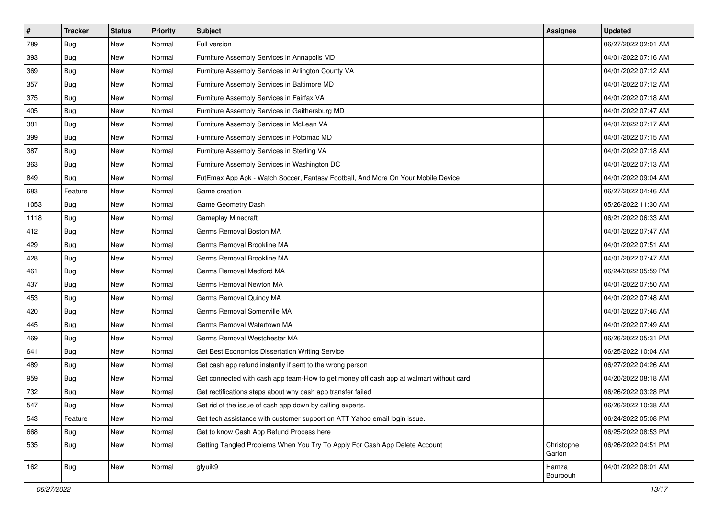| $\vert$ # | <b>Tracker</b> | <b>Status</b> | <b>Priority</b> | Subject                                                                                | <b>Assignee</b>      | <b>Updated</b>      |
|-----------|----------------|---------------|-----------------|----------------------------------------------------------------------------------------|----------------------|---------------------|
| 789       | <b>Bug</b>     | New           | Normal          | Full version                                                                           |                      | 06/27/2022 02:01 AM |
| 393       | <b>Bug</b>     | New           | Normal          | Furniture Assembly Services in Annapolis MD                                            |                      | 04/01/2022 07:16 AM |
| 369       | Bug            | New           | Normal          | Furniture Assembly Services in Arlington County VA                                     |                      | 04/01/2022 07:12 AM |
| 357       | <b>Bug</b>     | New           | Normal          | Furniture Assembly Services in Baltimore MD                                            |                      | 04/01/2022 07:12 AM |
| 375       | Bug            | New           | Normal          | Furniture Assembly Services in Fairfax VA                                              |                      | 04/01/2022 07:18 AM |
| 405       | <b>Bug</b>     | New           | Normal          | Furniture Assembly Services in Gaithersburg MD                                         |                      | 04/01/2022 07:47 AM |
| 381       | Bug            | New           | Normal          | Furniture Assembly Services in McLean VA                                               |                      | 04/01/2022 07:17 AM |
| 399       | <b>Bug</b>     | New           | Normal          | Furniture Assembly Services in Potomac MD                                              |                      | 04/01/2022 07:15 AM |
| 387       | <b>Bug</b>     | New           | Normal          | Furniture Assembly Services in Sterling VA                                             |                      | 04/01/2022 07:18 AM |
| 363       | Bug            | New           | Normal          | Furniture Assembly Services in Washington DC                                           |                      | 04/01/2022 07:13 AM |
| 849       | <b>Bug</b>     | New           | Normal          | FutEmax App Apk - Watch Soccer, Fantasy Football, And More On Your Mobile Device       |                      | 04/01/2022 09:04 AM |
| 683       | Feature        | New           | Normal          | Game creation                                                                          |                      | 06/27/2022 04:46 AM |
| 1053      | Bug            | New           | Normal          | Game Geometry Dash                                                                     |                      | 05/26/2022 11:30 AM |
| 1118      | <b>Bug</b>     | New           | Normal          | Gameplay Minecraft                                                                     |                      | 06/21/2022 06:33 AM |
| 412       | <b>Bug</b>     | New           | Normal          | Germs Removal Boston MA                                                                |                      | 04/01/2022 07:47 AM |
| 429       | Bug            | New           | Normal          | Germs Removal Brookline MA                                                             |                      | 04/01/2022 07:51 AM |
| 428       | <b>Bug</b>     | New           | Normal          | Germs Removal Brookline MA                                                             |                      | 04/01/2022 07:47 AM |
| 461       | Bug            | New           | Normal          | Germs Removal Medford MA                                                               |                      | 06/24/2022 05:59 PM |
| 437       | Bug            | New           | Normal          | Germs Removal Newton MA                                                                |                      | 04/01/2022 07:50 AM |
| 453       | <b>Bug</b>     | New           | Normal          | Germs Removal Quincy MA                                                                |                      | 04/01/2022 07:48 AM |
| 420       | Bug            | New           | Normal          | Germs Removal Somerville MA                                                            |                      | 04/01/2022 07:46 AM |
| 445       | <b>Bug</b>     | New           | Normal          | Germs Removal Watertown MA                                                             |                      | 04/01/2022 07:49 AM |
| 469       | <b>Bug</b>     | New           | Normal          | Germs Removal Westchester MA                                                           |                      | 06/26/2022 05:31 PM |
| 641       | <b>Bug</b>     | New           | Normal          | Get Best Economics Dissertation Writing Service                                        |                      | 06/25/2022 10:04 AM |
| 489       | <b>Bug</b>     | New           | Normal          | Get cash app refund instantly if sent to the wrong person                              |                      | 06/27/2022 04:26 AM |
| 959       | Bug            | New           | Normal          | Get connected with cash app team-How to get money off cash app at walmart without card |                      | 04/20/2022 08:18 AM |
| 732       | <b>Bug</b>     | New           | Normal          | Get rectifications steps about why cash app transfer failed                            |                      | 06/26/2022 03:28 PM |
| 547       | Bug            | New           | Normal          | Get rid of the issue of cash app down by calling experts.                              |                      | 06/26/2022 10:38 AM |
| 543       | Feature        | New           | Normal          | Get tech assistance with customer support on ATT Yahoo email login issue.              |                      | 06/24/2022 05:08 PM |
| 668       | Bug            | New           | Normal          | Get to know Cash App Refund Process here                                               |                      | 06/25/2022 08:53 PM |
| 535       | Bug            | New           | Normal          | Getting Tangled Problems When You Try To Apply For Cash App Delete Account             | Christophe<br>Garion | 06/26/2022 04:51 PM |
| 162       | <b>Bug</b>     | New           | Normal          | gfyuik9                                                                                | Hamza<br>Bourbouh    | 04/01/2022 08:01 AM |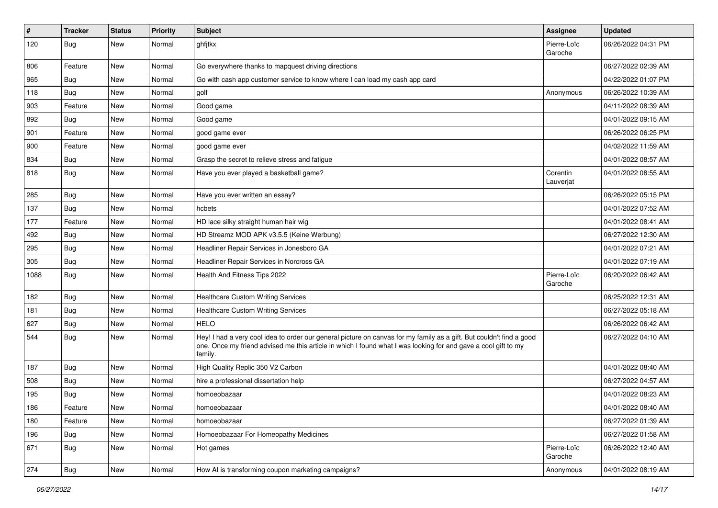| $\vert$ # | <b>Tracker</b> | <b>Status</b> | <b>Priority</b> | <b>Subject</b>                                                                                                                                                                                                                                    | <b>Assignee</b>        | <b>Updated</b>      |
|-----------|----------------|---------------|-----------------|---------------------------------------------------------------------------------------------------------------------------------------------------------------------------------------------------------------------------------------------------|------------------------|---------------------|
| 120       | Bug            | New           | Normal          | ghfjtkx                                                                                                                                                                                                                                           | Pierre-Loïc<br>Garoche | 06/26/2022 04:31 PM |
| 806       | Feature        | <b>New</b>    | Normal          | Go everywhere thanks to mapquest driving directions                                                                                                                                                                                               |                        | 06/27/2022 02:39 AM |
| 965       | Bug            | New           | Normal          | Go with cash app customer service to know where I can load my cash app card                                                                                                                                                                       |                        | 04/22/2022 01:07 PM |
| 118       | Bug            | New           | Normal          | golf                                                                                                                                                                                                                                              | Anonymous              | 06/26/2022 10:39 AM |
| 903       | Feature        | New           | Normal          | Good game                                                                                                                                                                                                                                         |                        | 04/11/2022 08:39 AM |
| 892       | Bug            | <b>New</b>    | Normal          | Good game                                                                                                                                                                                                                                         |                        | 04/01/2022 09:15 AM |
| 901       | Feature        | New           | Normal          | good game ever                                                                                                                                                                                                                                    |                        | 06/26/2022 06:25 PM |
| 900       | Feature        | New           | Normal          | good game ever                                                                                                                                                                                                                                    |                        | 04/02/2022 11:59 AM |
| 834       | Bug            | New           | Normal          | Grasp the secret to relieve stress and fatigue                                                                                                                                                                                                    |                        | 04/01/2022 08:57 AM |
| 818       | Bug            | <b>New</b>    | Normal          | Have you ever played a basketball game?                                                                                                                                                                                                           | Corentin<br>Lauverjat  | 04/01/2022 08:55 AM |
| 285       | Bug            | New           | Normal          | Have you ever written an essay?                                                                                                                                                                                                                   |                        | 06/26/2022 05:15 PM |
| 137       | <b>Bug</b>     | New           | Normal          | hcbets                                                                                                                                                                                                                                            |                        | 04/01/2022 07:52 AM |
| 177       | Feature        | <b>New</b>    | Normal          | HD lace silky straight human hair wig                                                                                                                                                                                                             |                        | 04/01/2022 08:41 AM |
| 492       | Bug            | New           | Normal          | HD Streamz MOD APK v3.5.5 (Keine Werbung)                                                                                                                                                                                                         |                        | 06/27/2022 12:30 AM |
| 295       | <b>Bug</b>     | New           | Normal          | Headliner Repair Services in Jonesboro GA                                                                                                                                                                                                         |                        | 04/01/2022 07:21 AM |
| 305       | Bug            | New           | Normal          | Headliner Repair Services in Norcross GA                                                                                                                                                                                                          |                        | 04/01/2022 07:19 AM |
| 1088      | Bug            | New           | Normal          | Health And Fitness Tips 2022                                                                                                                                                                                                                      | Pierre-Loïc<br>Garoche | 06/20/2022 06:42 AM |
| 182       | Bug            | New           | Normal          | <b>Healthcare Custom Writing Services</b>                                                                                                                                                                                                         |                        | 06/25/2022 12:31 AM |
| 181       | Bug            | New           | Normal          | <b>Healthcare Custom Writing Services</b>                                                                                                                                                                                                         |                        | 06/27/2022 05:18 AM |
| 627       | <b>Bug</b>     | <b>New</b>    | Normal          | <b>HELO</b>                                                                                                                                                                                                                                       |                        | 06/26/2022 06:42 AM |
| 544       | Bug            | New           | Normal          | Hey! I had a very cool idea to order our general picture on canvas for my family as a gift. But couldn't find a good<br>one. Once my friend advised me this article in which I found what I was looking for and gave a cool gift to my<br>family. |                        | 06/27/2022 04:10 AM |
| 187       | Bug            | New           | Normal          | High Quality Replic 350 V2 Carbon                                                                                                                                                                                                                 |                        | 04/01/2022 08:40 AM |
| 508       | Bug            | New           | Normal          | hire a professional dissertation help                                                                                                                                                                                                             |                        | 06/27/2022 04:57 AM |
| 195       | <b>Bug</b>     | New           | Normal          | homoeobazaar                                                                                                                                                                                                                                      |                        | 04/01/2022 08:23 AM |
| 186       | Feature        | New           | Normal          | homoeobazaar                                                                                                                                                                                                                                      |                        | 04/01/2022 08:40 AM |
| 180       | Feature        | <b>New</b>    | Normal          | homoeobazaar                                                                                                                                                                                                                                      |                        | 06/27/2022 01:39 AM |
| 196       | <b>Bug</b>     | New           | Normal          | Homoeobazaar For Homeopathy Medicines                                                                                                                                                                                                             |                        | 06/27/2022 01:58 AM |
| 671       | Bug            | New           | Normal          | Hot games                                                                                                                                                                                                                                         | Pierre-Loïc<br>Garoche | 06/26/2022 12:40 AM |
| 274       | <b>Bug</b>     | New           | Normal          | How AI is transforming coupon marketing campaigns?                                                                                                                                                                                                | Anonymous              | 04/01/2022 08:19 AM |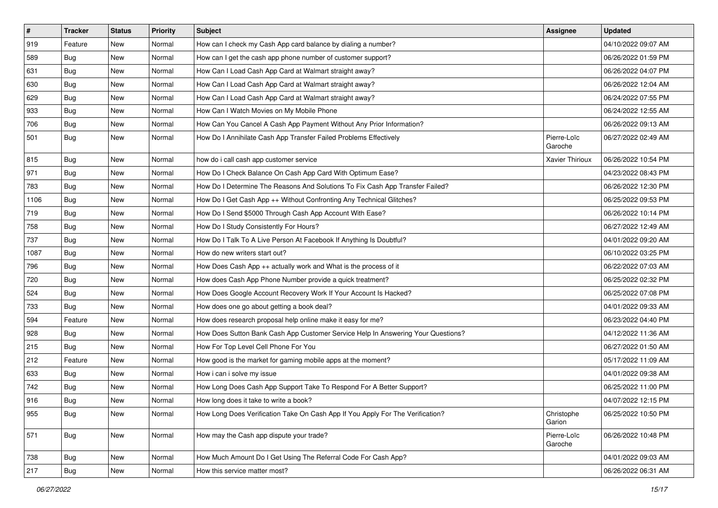| $\vert$ # | <b>Tracker</b> | <b>Status</b> | <b>Priority</b> | <b>Subject</b>                                                                   | <b>Assignee</b>        | <b>Updated</b>      |
|-----------|----------------|---------------|-----------------|----------------------------------------------------------------------------------|------------------------|---------------------|
| 919       | Feature        | New           | Normal          | How can I check my Cash App card balance by dialing a number?                    |                        | 04/10/2022 09:07 AM |
| 589       | Bug            | New           | Normal          | How can I get the cash app phone number of customer support?                     |                        | 06/26/2022 01:59 PM |
| 631       | Bug            | New           | Normal          | How Can I Load Cash App Card at Walmart straight away?                           |                        | 06/26/2022 04:07 PM |
| 630       | Bug            | New           | Normal          | How Can I Load Cash App Card at Walmart straight away?                           |                        | 06/26/2022 12:04 AM |
| 629       | <b>Bug</b>     | New           | Normal          | How Can I Load Cash App Card at Walmart straight away?                           |                        | 06/24/2022 07:55 PM |
| 933       | <b>Bug</b>     | New           | Normal          | How Can I Watch Movies on My Mobile Phone                                        |                        | 06/24/2022 12:55 AM |
| 706       | Bug            | New           | Normal          | How Can You Cancel A Cash App Payment Without Any Prior Information?             |                        | 06/26/2022 09:13 AM |
| 501       | Bug            | New           | Normal          | How Do I Annihilate Cash App Transfer Failed Problems Effectively                | Pierre-Loïc<br>Garoche | 06/27/2022 02:49 AM |
| 815       | Bug            | <b>New</b>    | Normal          | how do i call cash app customer service                                          | Xavier Thirioux        | 06/26/2022 10:54 PM |
| 971       | Bug            | New           | Normal          | How Do I Check Balance On Cash App Card With Optimum Ease?                       |                        | 04/23/2022 08:43 PM |
| 783       | <b>Bug</b>     | New           | Normal          | How Do I Determine The Reasons And Solutions To Fix Cash App Transfer Failed?    |                        | 06/26/2022 12:30 PM |
| 1106      | Bug            | <b>New</b>    | Normal          | How Do I Get Cash App ++ Without Confronting Any Technical Glitches?             |                        | 06/25/2022 09:53 PM |
| 719       | <b>Bug</b>     | New           | Normal          | How Do I Send \$5000 Through Cash App Account With Ease?                         |                        | 06/26/2022 10:14 PM |
| 758       | Bug            | New           | Normal          | How Do I Study Consistently For Hours?                                           |                        | 06/27/2022 12:49 AM |
| 737       | Bug            | New           | Normal          | How Do I Talk To A Live Person At Facebook If Anything Is Doubtful?              |                        | 04/01/2022 09:20 AM |
| 1087      | <b>Bug</b>     | New           | Normal          | How do new writers start out?                                                    |                        | 06/10/2022 03:25 PM |
| 796       | Bug            | New           | Normal          | How Does Cash App ++ actually work and What is the process of it                 |                        | 06/22/2022 07:03 AM |
| 720       | <b>Bug</b>     | New           | Normal          | How does Cash App Phone Number provide a quick treatment?                        |                        | 06/25/2022 02:32 PM |
| 524       | Bug            | New           | Normal          | How Does Google Account Recovery Work If Your Account Is Hacked?                 |                        | 06/25/2022 07:08 PM |
| 733       | Bug            | New           | Normal          | How does one go about getting a book deal?                                       |                        | 04/01/2022 09:33 AM |
| 594       | Feature        | New           | Normal          | How does research proposal help online make it easy for me?                      |                        | 06/23/2022 04:40 PM |
| 928       | <b>Bug</b>     | New           | Normal          | How Does Sutton Bank Cash App Customer Service Help In Answering Your Questions? |                        | 04/12/2022 11:36 AM |
| 215       | Bug            | New           | Normal          | How For Top Level Cell Phone For You                                             |                        | 06/27/2022 01:50 AM |
| 212       | Feature        | New           | Normal          | How good is the market for gaming mobile apps at the moment?                     |                        | 05/17/2022 11:09 AM |
| 633       | Bug            | New           | Normal          | How i can i solve my issue                                                       |                        | 04/01/2022 09:38 AM |
| 742       | Bug            | New           | Normal          | How Long Does Cash App Support Take To Respond For A Better Support?             |                        | 06/25/2022 11:00 PM |
| 916       | <b>Bug</b>     | New           | Normal          | How long does it take to write a book?                                           |                        | 04/07/2022 12:15 PM |
| 955       | Bug            | <b>New</b>    | Normal          | How Long Does Verification Take On Cash App If You Apply For The Verification?   | Christophe<br>Garion   | 06/25/2022 10:50 PM |
| 571       | Bug            | <b>New</b>    | Normal          | How may the Cash app dispute your trade?                                         | Pierre-Loïc<br>Garoche | 06/26/2022 10:48 PM |
| 738       | Bug            | New           | Normal          | How Much Amount Do I Get Using The Referral Code For Cash App?                   |                        | 04/01/2022 09:03 AM |
| 217       | <b>Bug</b>     | New           | Normal          | How this service matter most?                                                    |                        | 06/26/2022 06:31 AM |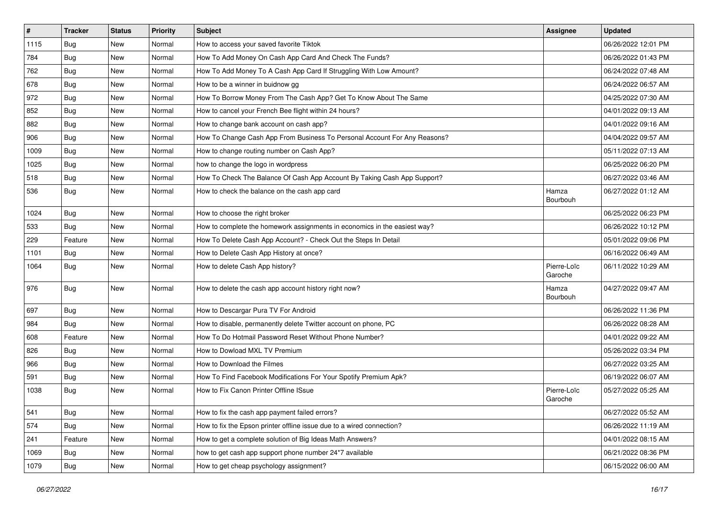| $\pmb{\#}$ | <b>Tracker</b> | <b>Status</b> | Priority | <b>Subject</b>                                                            | <b>Assignee</b>        | <b>Updated</b>      |
|------------|----------------|---------------|----------|---------------------------------------------------------------------------|------------------------|---------------------|
| 1115       | <b>Bug</b>     | New           | Normal   | How to access your saved favorite Tiktok                                  |                        | 06/26/2022 12:01 PM |
| 784        | <b>Bug</b>     | <b>New</b>    | Normal   | How To Add Money On Cash App Card And Check The Funds?                    |                        | 06/26/2022 01:43 PM |
| 762        | <b>Bug</b>     | New           | Normal   | How To Add Money To A Cash App Card If Struggling With Low Amount?        |                        | 06/24/2022 07:48 AM |
| 678        | Bug            | New           | Normal   | How to be a winner in buidnow gg                                          |                        | 06/24/2022 06:57 AM |
| 972        | Bug            | New           | Normal   | How To Borrow Money From The Cash App? Get To Know About The Same         |                        | 04/25/2022 07:30 AM |
| 852        | Bug            | New           | Normal   | How to cancel your French Bee flight within 24 hours?                     |                        | 04/01/2022 09:13 AM |
| 882        | <b>Bug</b>     | New           | Normal   | How to change bank account on cash app?                                   |                        | 04/01/2022 09:16 AM |
| 906        | Bug            | New           | Normal   | How To Change Cash App From Business To Personal Account For Any Reasons? |                        | 04/04/2022 09:57 AM |
| 1009       | <b>Bug</b>     | New           | Normal   | How to change routing number on Cash App?                                 |                        | 05/11/2022 07:13 AM |
| 1025       | Bug            | New           | Normal   | how to change the logo in wordpress                                       |                        | 06/25/2022 06:20 PM |
| 518        | <b>Bug</b>     | New           | Normal   | How To Check The Balance Of Cash App Account By Taking Cash App Support?  |                        | 06/27/2022 03:46 AM |
| 536        | <b>Bug</b>     | New           | Normal   | How to check the balance on the cash app card                             | Hamza<br>Bourbouh      | 06/27/2022 01:12 AM |
| 1024       | Bug            | New           | Normal   | How to choose the right broker                                            |                        | 06/25/2022 06:23 PM |
| 533        | Bug            | New           | Normal   | How to complete the homework assignments in economics in the easiest way? |                        | 06/26/2022 10:12 PM |
| 229        | Feature        | New           | Normal   | How To Delete Cash App Account? - Check Out the Steps In Detail           |                        | 05/01/2022 09:06 PM |
| 1101       | Bug            | New           | Normal   | How to Delete Cash App History at once?                                   |                        | 06/16/2022 06:49 AM |
| 1064       | Bug            | New           | Normal   | How to delete Cash App history?                                           | Pierre-Loïc<br>Garoche | 06/11/2022 10:29 AM |
| 976        | <b>Bug</b>     | New           | Normal   | How to delete the cash app account history right now?                     | Hamza<br>Bourbouh      | 04/27/2022 09:47 AM |
| 697        | Bug            | New           | Normal   | How to Descargar Pura TV For Android                                      |                        | 06/26/2022 11:36 PM |
| 984        | Bug            | <b>New</b>    | Normal   | How to disable, permanently delete Twitter account on phone, PC           |                        | 06/26/2022 08:28 AM |
| 608        | Feature        | New           | Normal   | How To Do Hotmail Password Reset Without Phone Number?                    |                        | 04/01/2022 09:22 AM |
| 826        | <b>Bug</b>     | New           | Normal   | How to Dowload MXL TV Premium                                             |                        | 05/26/2022 03:34 PM |
| 966        | <b>Bug</b>     | New           | Normal   | How to Download the Filmes                                                |                        | 06/27/2022 03:25 AM |
| 591        | Bug            | New           | Normal   | How To Find Facebook Modifications For Your Spotify Premium Apk?          |                        | 06/19/2022 06:07 AM |
| 1038       | <b>Bug</b>     | New           | Normal   | How to Fix Canon Printer Offline ISsue                                    | Pierre-Loïc<br>Garoche | 05/27/2022 05:25 AM |
| 541        | <b>Bug</b>     | New           | Normal   | How to fix the cash app payment failed errors?                            |                        | 06/27/2022 05:52 AM |
| 574        | <b>Bug</b>     | New           | Normal   | How to fix the Epson printer offline issue due to a wired connection?     |                        | 06/26/2022 11:19 AM |
| 241        | Feature        | New           | Normal   | How to get a complete solution of Big Ideas Math Answers?                 |                        | 04/01/2022 08:15 AM |
| 1069       | Bug            | New           | Normal   | how to get cash app support phone number 24*7 available                   |                        | 06/21/2022 08:36 PM |
| 1079       | Bug            | New           | Normal   | How to get cheap psychology assignment?                                   |                        | 06/15/2022 06:00 AM |